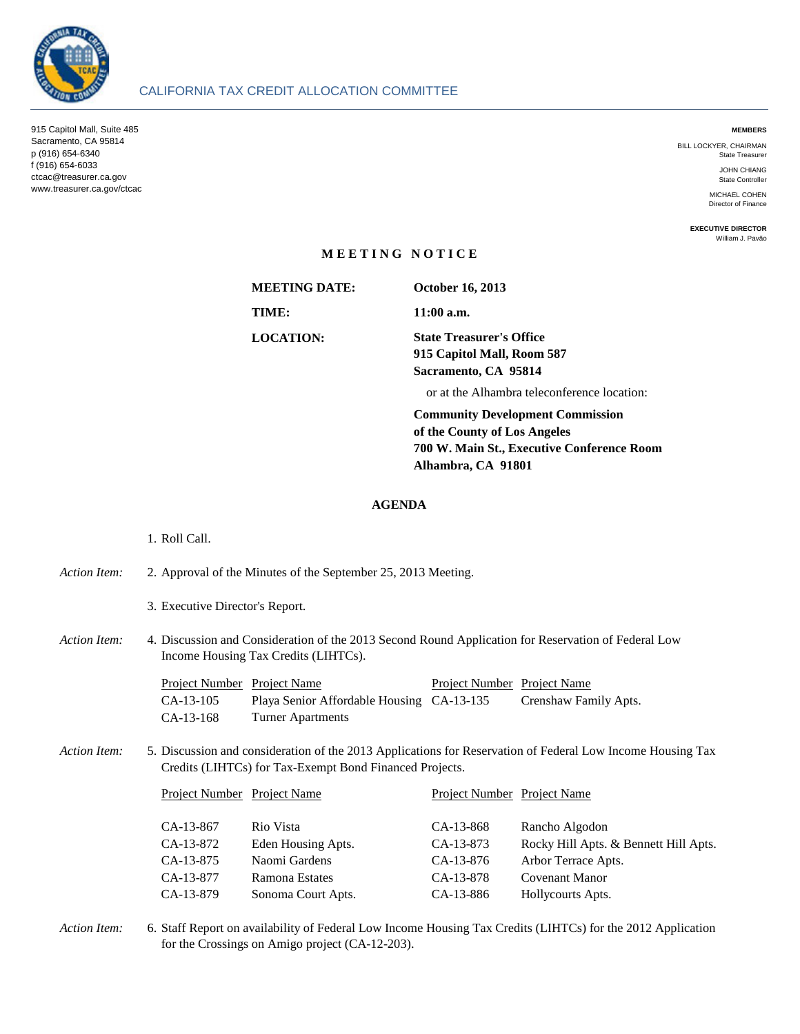

#### **MEMBERS**

BILL LOCKYER, CHAIRMAN State Treasurer

> JOHN CHIANG State Controller

MICHAEL COHEN Director of Finance

**EXECUTIVE DIRECTOR** William J. Pavão

## **M E E T I N G N O T I C E**

**MEETING DATE: TIME: 11:00 a.m.**

**October 16, 2013**

**LOCATION: State Treasurer's Office 915 Capitol Mall, Room 587 Sacramento, CA 95814**

or at the Alhambra teleconference location:

**Community Development Commission of the County of Los Angeles 700 W. Main St., Executive Conference Room Alhambra, CA 91801**

## **AGENDA**

# 1. Roll Call. *Action Item:* 2. 3. Executive Director's Report. Action Item: Project Name Project Number Project Name CA-13-105 Playa Senior Affordable Housing CA-13-135 Crenshaw Family Apts. CA-13-168 Turner Apartments *Action Item:* 5. Project Name Project Number Project Name CA-13-867 Rio Vista CA-13-868 Rancho Algodon CA-13-872 Eden Housing Apts. CA-13-873 Rocky Hill Apts. & Bennett Hill Apts. CA-13-875 Naomi Gardens CA-13-876 Arbor Terrace Apts. CA-13-877 Ramona Estates CA-13-878 Covenant Manor CA-13-879 Sonoma Court Apts. CA-13-886 Hollycourts Apts. Discussion and Consideration of the 2013 Second Round Application for Reservation of Federal Low Income Housing Tax Credits (LIHTCs). Project Number Project Name Approval of the Minutes of the September 25, 2013 Meeting. Discussion and consideration of the 2013 Applications for Reservation of Federal Low Income Housing Tax Credits (LIHTCs) for Tax-Exempt Bond Financed Projects. Project Number Project Name

*Action Item:* 6. Staff Report on availability of Federal Low Income Housing Tax Credits (LIHTCs) for the 2012 Application for the Crossings on Amigo project (CA-12-203).